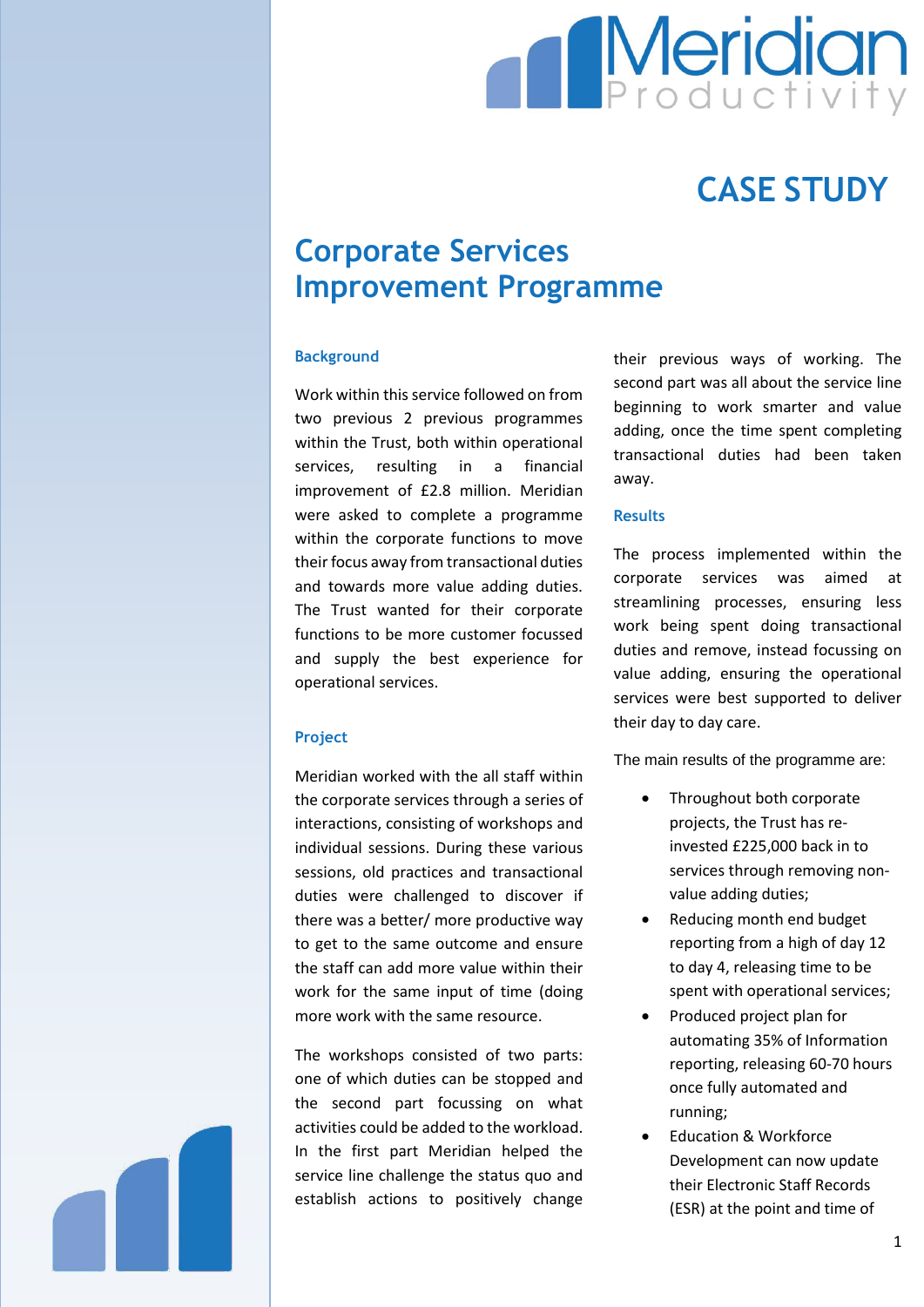

# **CASE STUDY**

# **Corporate Services Improvement Programme**

# **Background**

Work within this service followed on from two previous 2 previous programmes within the Trust, both within operational services, resulting in a financial improvement of £2.8 million. Meridian were asked to complete a programme within the corporate functions to move their focus away from transactional duties and towards more value adding duties. The Trust wanted for their corporate functions to be more customer focussed and supply the best experience for operational services.

#### **Project**

Meridian worked with the all staff within the corporate services through a series of interactions, consisting of workshops and individual sessions. During these various sessions, old practices and transactional duties were challenged to discover if there was a better/ more productive way to get to the same outcome and ensure the staff can add more value within their work for the same input of time (doing more work with the same resource.

The workshops consisted of two parts: one of which duties can be stopped and the second part focussing on what activities could be added to the workload. In the first part Meridian helped the service line challenge the status quo and establish actions to positively change

their previous ways of working. The second part was all about the service line beginning to work smarter and value adding, once the time spent completing transactional duties had been taken away.

## **Results**

The process implemented within the corporate services was aimed at streamlining processes, ensuring less work being spent doing transactional duties and remove, instead focussing on value adding, ensuring the operational services were best supported to deliver their day to day care.

The main results of the programme are:

- Throughout both corporate projects, the Trust has reinvested £225,000 back in to services through removing nonvalue adding duties;
- Reducing month end budget reporting from a high of day 12 to day 4, releasing time to be spent with operational services;
- Produced project plan for automating 35% of Information reporting, releasing 60-70 hours once fully automated and running;
- Education & Workforce Development can now update their Electronic Staff Records (ESR) at the point and time of